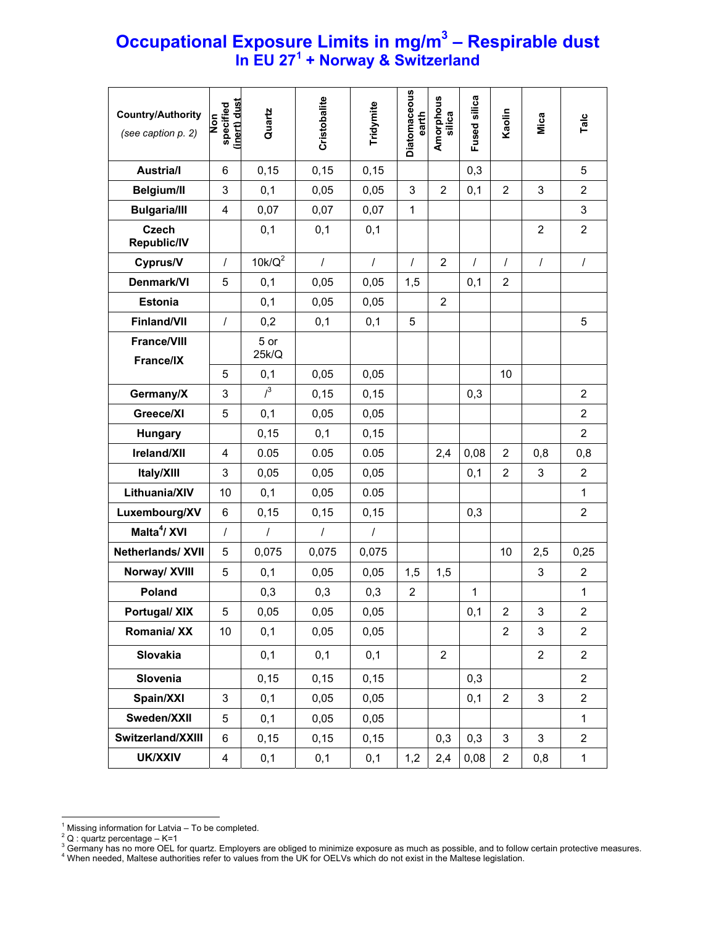## **Occupational Exposure Limits in mg/m3 – Respirable dust In EU 27<sup>1</sup> + Norway & Switzerland**

| <b>Country/Authority</b><br>(see caption p. 2) | specified<br>(inert) dust<br><b>Non</b> | Quartz           | Cristobalite   | Tridymite  | <b>Diatomaceous</b><br>earth | Amorphous<br>silica | Fused silica | Kaolin                  | Mica           | Talc           |
|------------------------------------------------|-----------------------------------------|------------------|----------------|------------|------------------------------|---------------------|--------------|-------------------------|----------------|----------------|
| <b>Austria/I</b>                               | 6                                       | 0,15             | 0,15           | 0,15       |                              |                     | 0,3          |                         |                | 5              |
| <b>Belgium/II</b>                              | 3                                       | 0,1              | 0,05           | 0,05       | 3                            | $\overline{2}$      | 0,1          | $\overline{2}$          | 3              | $\overline{2}$ |
| <b>Bulgaria/III</b>                            | $\overline{4}$                          | 0,07             | 0,07           | 0,07       | $\mathbf{1}$                 |                     |              |                         |                | $\mathbf{3}$   |
| <b>Czech</b><br><b>Republic/IV</b>             |                                         | 0,1              | 0,1            | 0,1        |                              |                     |              |                         | $\overline{2}$ | $\overline{2}$ |
| Cyprus/V                                       | $\prime$                                | $10k/Q^2$        | $\overline{I}$ | $\prime$   | $\prime$                     | $\overline{2}$      | $\prime$     | $\prime$                | $\prime$       | $\prime$       |
| Denmark/VI                                     | 5                                       | 0,1              | 0,05           | 0,05       | 1,5                          |                     | 0,1          | $\overline{2}$          |                |                |
| <b>Estonia</b>                                 |                                         | 0,1              | 0,05           | 0,05       |                              | $\overline{2}$      |              |                         |                |                |
| <b>Finland/VII</b>                             | $\prime$                                | 0,2              | 0,1            | 0,1        | 5                            |                     |              |                         |                | 5              |
| <b>France/VIII</b><br>France/IX                |                                         | 5 or<br>25k/Q    |                |            |                              |                     |              |                         |                |                |
|                                                | 5                                       | 0,1              | 0,05           | 0,05       |                              |                     |              | 10                      |                |                |
| Germany/X                                      | 3                                       | $l^3$            | 0,15           | 0,15       |                              |                     | 0,3          |                         |                | $\overline{2}$ |
| Greece/XI                                      | 5                                       | 0,1              | 0,05           | 0,05       |                              |                     |              |                         |                | $\overline{2}$ |
| Hungary                                        |                                         | 0, 15            | 0,1            | 0,15       |                              |                     |              |                         |                | $\overline{2}$ |
| Ireland/XII                                    | $\overline{4}$                          | 0.05             | 0.05           | 0.05       |                              | 2,4                 | 0,08         | 2                       | 0,8            | 0,8            |
| Italy/XIII                                     | 3                                       | 0,05             | 0,05           | 0,05       |                              |                     | 0,1          | $\overline{2}$          | 3              | $\overline{2}$ |
| Lithuania/XIV                                  | 10                                      | 0,1              | 0,05           | 0.05       |                              |                     |              |                         |                | $\mathbf{1}$   |
| Luxembourg/XV                                  | 6                                       | 0, 15            | 0, 15          | 0,15       |                              |                     | 0,3          |                         |                | $\overline{2}$ |
| Malta <sup>4</sup> / XVI                       | $\prime$                                | $\boldsymbol{I}$ | $\cal I$       | $\sqrt{ }$ |                              |                     |              |                         |                |                |
| <b>Netherlands/ XVII</b>                       | 5                                       | 0,075            | 0,075          | 0,075      |                              |                     |              | 10                      | 2,5            | 0,25           |
| Norway/ XVIII                                  | 5                                       | 0,1              | 0,05           | 0,05       | 1,5                          | 1,5                 |              |                         | 3              | 2              |
| Poland                                         |                                         | 0,3              | 0,3            | 0,3        | $\overline{\mathbf{c}}$      |                     | 1            |                         |                | 1              |
| <b>Portugal/ XIX</b>                           | 5                                       | 0,05             | 0,05           | 0,05       |                              |                     | 0,1          | $\mathbf 2$             | 3              | $\overline{c}$ |
| Romania/ XX                                    | 10                                      | 0,1              | 0,05           | 0,05       |                              |                     |              | $\overline{2}$          | 3              | $\overline{2}$ |
| <b>Slovakia</b>                                |                                         | 0,1              | 0,1            | 0,1        |                              | $\overline{2}$      |              |                         | $\overline{2}$ | $\overline{2}$ |
| Slovenia                                       |                                         | 0,15             | 0,15           | 0,15       |                              |                     | 0,3          |                         |                | $\overline{2}$ |
| Spain/XXI                                      | 3                                       | 0,1              | 0,05           | 0,05       |                              |                     | 0,1          | $\overline{2}$          | 3              | $\overline{2}$ |
| Sweden/XXII                                    | 5                                       | 0,1              | 0,05           | 0,05       |                              |                     |              |                         |                | $\mathbf{1}$   |
| Switzerland/XXIII                              | 6                                       | 0,15             | 0,15           | 0, 15      |                              | 0,3                 | 0,3          | 3                       | 3              | $\overline{2}$ |
| <b>UK/XXIV</b>                                 | 4                                       | 0,1              | 0,1            | 0,1        | 1,2                          | 2,4                 | 0,08         | $\overline{\mathbf{c}}$ | 0,8            | $\mathbf{1}$   |

 $\overline{a}$ <sup>1</sup> Missing information for Latvia – To be completed.

 $^2$  Q : quartz percentage – K=1<br><sup>3</sup> Germany has no more OEL for quartz. Employers are obliged to minimize exposure as much as possible, and to follow certain protective measures.<br><sup>4</sup> Whan pasded, Meltece sutherities refe When needed, Maltese authorities refer to values from the UK for OELVs which do not exist in the Maltese legislation.